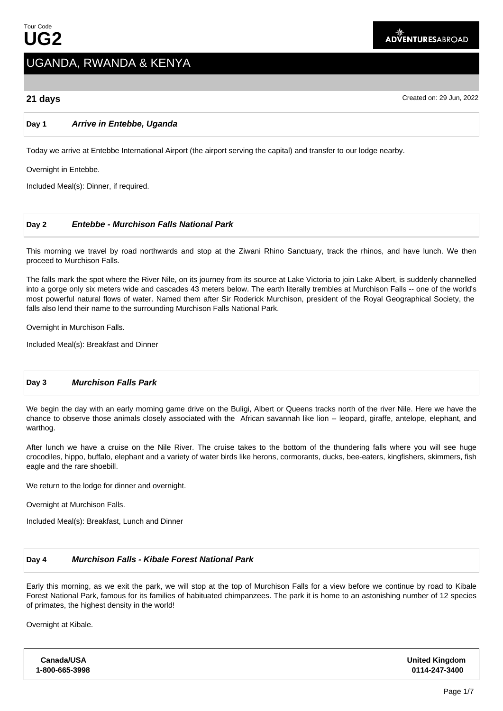# UGANDA, RWANDA & KENYA

**21 days** Created on: 29 Jun, 2022

# **Day 1 Arrive in Entebbe, Uganda**

Today we arrive at Entebbe International Airport (the airport serving the capital) and transfer to our lodge nearby.

Overnight in Entebbe.

Included Meal(s): Dinner, if required.

# **Day 2 Entebbe - Murchison Falls National Park**

This morning we travel by road northwards and stop at the Ziwani Rhino Sanctuary, track the rhinos, and have lunch. We then proceed to Murchison Falls.

The falls mark the spot where the River Nile, on its journey from its source at Lake Victoria to join Lake Albert, is suddenly channelled into a gorge only six meters wide and cascades 43 meters below. The earth literally trembles at Murchison Falls -- one of the world's most powerful natural flows of water. Named them after Sir Roderick Murchison, president of the Royal Geographical Society, the falls also lend their name to the surrounding Murchison Falls National Park.

Overnight in Murchison Falls.

Included Meal(s): Breakfast and Dinner

# **Day 3 Murchison Falls Park**

We begin the day with an early morning game drive on the Buligi, Albert or Queens tracks north of the river Nile. Here we have the chance to observe those animals closely associated with the African savannah like lion -- leopard, giraffe, antelope, elephant, and warthog.

After lunch we have a cruise on the Nile River. The cruise takes to the bottom of the thundering falls where you will see huge crocodiles, hippo, buffalo, elephant and a variety of water birds like herons, cormorants, ducks, bee-eaters, kingfishers, skimmers, fish eagle and the rare shoebill.

We return to the lodge for dinner and overnight.

Overnight at Murchison Falls.

Included Meal(s): Breakfast, Lunch and Dinner

# **Day 4 Murchison Falls - Kibale Forest National Park**

Early this morning, as we exit the park, we will stop at the top of Murchison Falls for a view before we continue by road to Kibale Forest National Park, famous for its families of habituated chimpanzees. The park it is home to an astonishing number of 12 species of primates, the highest density in the world!

Overnight at Kibale.

| <b>United Kingdom</b><br>0114-247-3400 |
|----------------------------------------|
|                                        |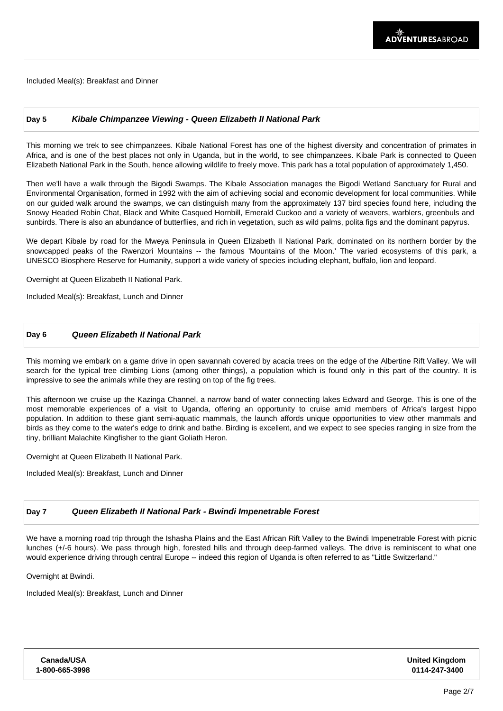Included Meal(s): Breakfast and Dinner

### **Day 5 Kibale Chimpanzee Viewing - Queen Elizabeth II National Park**

This morning we trek to see chimpanzees. Kibale National Forest has one of the highest diversity and concentration of primates in Africa, and is one of the best places not only in Uganda, but in the world, to see chimpanzees. Kibale Park is connected to Queen Elizabeth National Park in the South, hence allowing wildlife to freely move. This park has a total population of approximately 1,450.

Then we'll have a walk through the Bigodi Swamps. The Kibale Association manages the Bigodi Wetland Sanctuary for Rural and Environmental Organisation, formed in 1992 with the aim of achieving social and economic development for local communities. While on our guided walk around the swamps, we can distinguish many from the approximately 137 bird species found here, including the Snowy Headed Robin Chat, Black and White Casqued Hornbill, Emerald Cuckoo and a variety of weavers, warblers, greenbuls and sunbirds. There is also an abundance of butterflies, and rich in vegetation, such as wild palms, polita figs and the dominant papyrus.

We depart Kibale by road for the Mweya Peninsula in Queen Elizabeth II National Park, dominated on its northern border by the snowcapped peaks of the Rwenzori Mountains -- the famous 'Mountains of the Moon.' The varied ecosystems of this park, a UNESCO Biosphere Reserve for Humanity, support a wide variety of species including elephant, buffalo, lion and leopard.

Overnight at Queen Elizabeth II National Park.

Included Meal(s): Breakfast, Lunch and Dinner

#### **Day 6 Queen Elizabeth II National Park**

This morning we embark on a game drive in open savannah covered by acacia trees on the edge of the Albertine Rift Valley. We will search for the typical tree climbing Lions (among other things), a population which is found only in this part of the country. It is impressive to see the animals while they are resting on top of the fig trees.

This afternoon we cruise up the Kazinga Channel, a narrow band of water connecting lakes Edward and George. This is one of the most memorable experiences of a visit to Uganda, offering an opportunity to cruise amid members of Africa's largest hippo population. In addition to these giant semi-aquatic mammals, the launch affords unique opportunities to view other mammals and birds as they come to the water's edge to drink and bathe. Birding is excellent, and we expect to see species ranging in size from the tiny, brilliant Malachite Kingfisher to the giant Goliath Heron.

Overnight at Queen Elizabeth II National Park.

Included Meal(s): Breakfast, Lunch and Dinner

# **Day 7 Queen Elizabeth II National Park - Bwindi Impenetrable Forest**

We have a morning road trip through the Ishasha Plains and the East African Rift Valley to the Bwindi Impenetrable Forest with picnic lunches (+/-6 hours). We pass through high, forested hills and through deep-farmed valleys. The drive is reminiscent to what one would experience driving through central Europe -- indeed this region of Uganda is often referred to as "Little Switzerland."

Overnight at Bwindi.

Included Meal(s): Breakfast, Lunch and Dinner

| Canada/USA     |  |
|----------------|--|
| 1-800-665-3998 |  |

**United Kingdom 0114-247-3400**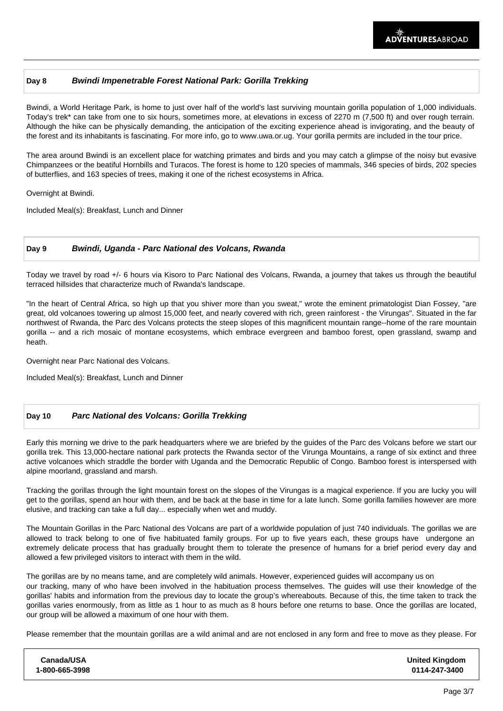# **Day 8 Bwindi Impenetrable Forest National Park: Gorilla Trekking**

Bwindi, a World Heritage Park, is home to just over half of the world's last surviving mountain gorilla population of 1,000 individuals. Today's trek\* can take from one to six hours, sometimes more, at elevations in excess of 2270 m (7,500 ft) and over rough terrain. Although the hike can be physically demanding, the anticipation of the exciting experience ahead is invigorating, and the beauty of the forest and its inhabitants is fascinating. For more info, go to www.uwa.or.ug. Your gorilla permits are included in the tour price.

The area around Bwindi is an excellent place for watching primates and birds and you may catch a glimpse of the noisy but evasive Chimpanzees or the beatiful Hornbills and Turacos. The forest is home to 120 species of mammals, 346 species of birds, 202 species of butterflies, and 163 species of trees, making it one of the richest ecosystems in Africa.

Overnight at Bwindi.

Included Meal(s): Breakfast, Lunch and Dinner

#### **Day 9 Bwindi, Uganda - Parc National des Volcans, Rwanda**

Today we travel by road +/- 6 hours via Kisoro to Parc National des Volcans, Rwanda, a journey that takes us through the beautiful terraced hillsides that characterize much of Rwanda's landscape.

"In the heart of Central Africa, so high up that you shiver more than you sweat," wrote the eminent primatologist Dian Fossey, "are great, old volcanoes towering up almost 15,000 feet, and nearly covered with rich, green rainforest - the Virungas". Situated in the far northwest of Rwanda, the Parc des Volcans protects the steep slopes of this magnificent mountain range--home of the rare mountain gorilla -- and a rich mosaic of montane ecosystems, which embrace evergreen and bamboo forest, open grassland, swamp and heath.

Overnight near Parc National des Volcans.

Included Meal(s): Breakfast, Lunch and Dinner

# **Day 10 Parc National des Volcans: Gorilla Trekking**

Early this morning we drive to the park headquarters where we are briefed by the guides of the Parc des Volcans before we start our gorilla trek. This 13,000-hectare national park protects the Rwanda sector of the Virunga Mountains, a range of six extinct and three active volcanoes which straddle the border with Uganda and the Democratic Republic of Congo. Bamboo forest is interspersed with alpine moorland, grassland and marsh.

Tracking the gorillas through the light mountain forest on the slopes of the Virungas is a magical experience. If you are lucky you will get to the gorillas, spend an hour with them, and be back at the base in time for a late lunch. Some gorilla families however are more elusive, and tracking can take a full day... especially when wet and muddy.

The Mountain Gorillas in the Parc National des Volcans are part of a worldwide population of just 740 individuals. The gorillas we are allowed to track belong to one of five habituated family groups. For up to five years each, these groups have undergone an extremely delicate process that has gradually brought them to tolerate the presence of humans for a brief period every day and allowed a few privileged visitors to interact with them in the wild.

The gorillas are by no means tame, and are completely wild animals. However, experienced guides will accompany us on our tracking, many of who have been involved in the habituation process themselves. The guides will use their knowledge of the gorillas' habits and information from the previous day to locate the group's whereabouts. Because of this, the time taken to track the gorillas varies enormously, from as little as 1 hour to as much as 8 hours before one returns to base. Once the gorillas are located, our group will be allowed a maximum of one hour with them.

Please remember that the mountain gorillas are a wild animal and are not enclosed in any form and free to move as they please. For

| Canada/USA     | <b>United Kingdom</b> |
|----------------|-----------------------|
| 1-800-665-3998 | 0114-247-3400         |
|                |                       |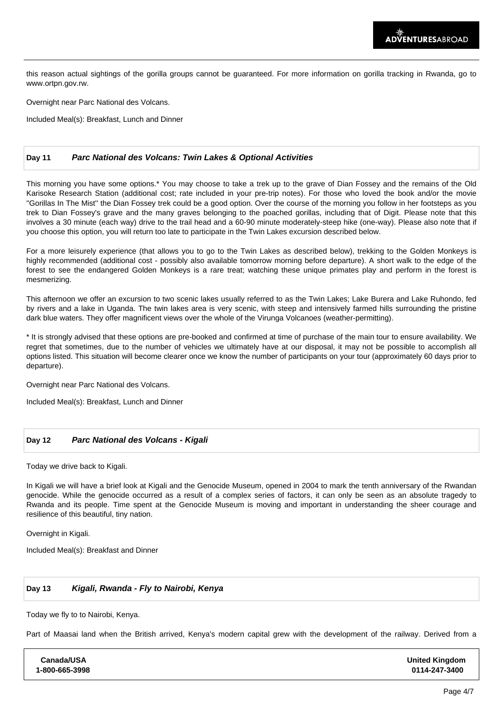this reason actual sightings of the gorilla groups cannot be guaranteed. For more information on gorilla tracking in Rwanda, go to www.ortpn.gov.rw.

Overnight near Parc National des Volcans.

Included Meal(s): Breakfast, Lunch and Dinner

#### **Day 11 Parc National des Volcans: Twin Lakes & Optional Activities**

This morning you have some options.\* You may choose to take a trek up to the grave of Dian Fossey and the remains of the Old Karisoke Research Station (additional cost; rate included in your pre-trip notes). For those who loved the book and/or the movie ''Gorillas In The Mist'' the Dian Fossey trek could be a good option. Over the course of the morning you follow in her footsteps as you trek to Dian Fossey's grave and the many graves belonging to the poached gorillas, including that of Digit. Please note that this involves a 30 minute (each way) drive to the trail head and a 60-90 minute moderately-steep hike (one-way). Please also note that if you choose this option, you will return too late to participate in the Twin Lakes excursion described below.

For a more leisurely experience (that allows you to go to the Twin Lakes as described below), trekking to the Golden Monkeys is highly recommended (additional cost - possibly also available tomorrow morning before departure). A short walk to the edge of the forest to see the endangered Golden Monkeys is a rare treat; watching these unique primates play and perform in the forest is mesmerizing.

This afternoon we offer an excursion to two scenic lakes usually referred to as the Twin Lakes; Lake Burera and Lake Ruhondo, fed by rivers and a lake in Uganda. The twin lakes area is very scenic, with steep and intensively farmed hills surrounding the pristine dark blue waters. They offer magnificent views over the whole of the Virunga Volcanoes (weather-permitting).

\* It is strongly advised that these options are pre-booked and confirmed at time of purchase of the main tour to ensure availability. We regret that sometimes, due to the number of vehicles we ultimately have at our disposal, it may not be possible to accomplish all options listed. This situation will become clearer once we know the number of participants on your tour (approximately 60 days prior to departure).

Overnight near Parc National des Volcans.

Included Meal(s): Breakfast, Lunch and Dinner

#### **Day 12 Parc National des Volcans - Kigali**

Today we drive back to Kigali.

In Kigali we will have a brief look at Kigali and the Genocide Museum, opened in 2004 to mark the tenth anniversary of the Rwandan genocide. While the genocide occurred as a result of a complex series of factors, it can only be seen as an absolute tragedy to Rwanda and its people. Time spent at the Genocide Museum is moving and important in understanding the sheer courage and resilience of this beautiful, tiny nation.

Overnight in Kigali.

Included Meal(s): Breakfast and Dinner

# **Day 13 Kigali, Rwanda - Fly to Nairobi, Kenya**

Today we fly to to Nairobi, Kenya.

Part of Maasai land when the British arrived, Kenya's modern capital grew with the development of the railway. Derived from a

| Canada/USA     | <b>United Kingdom</b> |
|----------------|-----------------------|
| 1-800-665-3998 | 0114-247-3400         |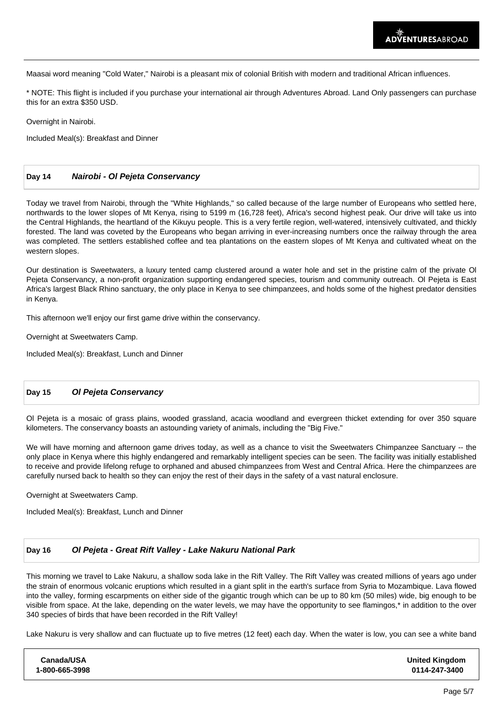Maasai word meaning "Cold Water," Nairobi is a pleasant mix of colonial British with modern and traditional African influences.

\* NOTE: This flight is included if you purchase your international air through Adventures Abroad. Land Only passengers can purchase this for an extra \$350 USD.

Overnight in Nairobi.

Included Meal(s): Breakfast and Dinner

#### **Day 14 Nairobi - Ol Pejeta Conservancy**

Today we travel from Nairobi, through the "White Highlands," so called because of the large number of Europeans who settled here, northwards to the lower slopes of Mt Kenya, rising to 5199 m (16,728 feet), Africa's second highest peak. Our drive will take us into the Central Highlands, the heartland of the Kikuyu people. This is a very fertile region, well-watered, intensively cultivated, and thickly forested. The land was coveted by the Europeans who began arriving in ever-increasing numbers once the railway through the area was completed. The settlers established coffee and tea plantations on the eastern slopes of Mt Kenya and cultivated wheat on the western slopes.

Our destination is Sweetwaters, a luxury tented camp clustered around a water hole and set in the pristine calm of the private Ol Pejeta Conservancy, a non-profit organization supporting endangered species, tourism and community outreach. Ol Pejeta is East Africa's largest Black Rhino sanctuary, the only place in Kenya to see chimpanzees, and holds some of the highest predator densities in Kenya.

This afternoon we'll enjoy our first game drive within the conservancy.

Overnight at Sweetwaters Camp.

Included Meal(s): Breakfast, Lunch and Dinner

# **Day 15 Ol Pejeta Conservancy**

Ol Pejeta is a mosaic of grass plains, wooded grassland, acacia woodland and evergreen thicket extending for over 350 square kilometers. The conservancy boasts an astounding variety of animals, including the "Big Five."

We will have morning and afternoon game drives today, as well as a chance to visit the Sweetwaters Chimpanzee Sanctuary -- the only place in Kenya where this highly endangered and remarkably intelligent species can be seen. The facility was initially established to receive and provide lifelong refuge to orphaned and abused chimpanzees from West and Central Africa. Here the chimpanzees are carefully nursed back to health so they can enjoy the rest of their days in the safety of a vast natural enclosure.

Overnight at Sweetwaters Camp.

Included Meal(s): Breakfast, Lunch and Dinner

#### **Day 16 Ol Pejeta - Great Rift Valley - Lake Nakuru National Park**

This morning we travel to Lake Nakuru, a shallow soda lake in the Rift Valley. The Rift Valley was created millions of years ago under the strain of enormous volcanic eruptions which resulted in a giant split in the earth's surface from Syria to Mozambique. Lava flowed into the valley, forming escarpments on either side of the gigantic trough which can be up to 80 km (50 miles) wide, big enough to be visible from space. At the lake, depending on the water levels, we may have the opportunity to see flamingos,\* in addition to the over 340 species of birds that have been recorded in the Rift Valley!

Lake Nakuru is very shallow and can fluctuate up to five metres (12 feet) each day. When the water is low, you can see a white band

| Canada/USA     | <b>United Kingdom</b> |
|----------------|-----------------------|
| 1-800-665-3998 | 0114-247-3400         |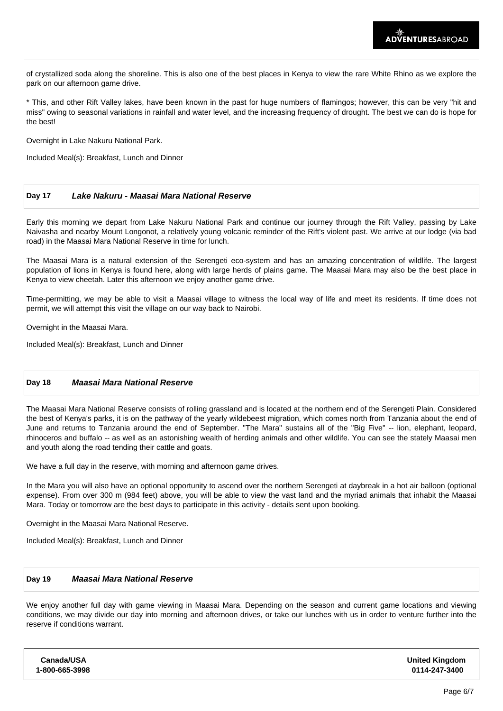of crystallized soda along the shoreline. This is also one of the best places in Kenya to view the rare White Rhino as we explore the park on our afternoon game drive.

\* This, and other Rift Valley lakes, have been known in the past for huge numbers of flamingos; however, this can be very "hit and miss" owing to seasonal variations in rainfall and water level, and the increasing frequency of drought. The best we can do is hope for the best!

Overnight in Lake Nakuru National Park.

Included Meal(s): Breakfast, Lunch and Dinner

# **Day 17 Lake Nakuru - Maasai Mara National Reserve**

Early this morning we depart from Lake Nakuru National Park and continue our journey through the Rift Valley, passing by Lake Naivasha and nearby Mount Longonot, a relatively young volcanic reminder of the Rift's violent past. We arrive at our lodge (via bad road) in the Maasai Mara National Reserve in time for lunch.

The Maasai Mara is a natural extension of the Serengeti eco-system and has an amazing concentration of wildlife. The largest population of lions in Kenya is found here, along with large herds of plains game. The Maasai Mara may also be the best place in Kenya to view cheetah. Later this afternoon we enjoy another game drive.

Time-permitting, we may be able to visit a Maasai village to witness the local way of life and meet its residents. If time does not permit, we will attempt this visit the village on our way back to Nairobi.

Overnight in the Maasai Mara.

Included Meal(s): Breakfast, Lunch and Dinner

# **Day 18 Maasai Mara National Reserve**

The Maasai Mara National Reserve consists of rolling grassland and is located at the northern end of the Serengeti Plain. Considered the best of Kenya's parks, it is on the pathway of the yearly wildebeest migration, which comes north from Tanzania about the end of June and returns to Tanzania around the end of September. "The Mara" sustains all of the "Big Five" -- lion, elephant, leopard, rhinoceros and buffalo -- as well as an astonishing wealth of herding animals and other wildlife. You can see the stately Maasai men and youth along the road tending their cattle and goats.

We have a full day in the reserve, with morning and afternoon game drives.

In the Mara you will also have an optional opportunity to ascend over the northern Serengeti at daybreak in a hot air balloon (optional expense). From over 300 m (984 feet) above, you will be able to view the vast land and the myriad animals that inhabit the Maasai Mara. Today or tomorrow are the best days to participate in this activity - details sent upon booking.

Overnight in the Maasai Mara National Reserve.

Included Meal(s): Breakfast, Lunch and Dinner

# **Day 19 Maasai Mara National Reserve**

We enjoy another full day with game viewing in Maasai Mara. Depending on the season and current game locations and viewing conditions, we may divide our day into morning and afternoon drives, or take our lunches with us in order to venture further into the reserve if conditions warrant.

| Canada/USA<br>1-800-665-3998 | <b>United Kingdom</b><br>0114-247-3400 |
|------------------------------|----------------------------------------|
|                              |                                        |